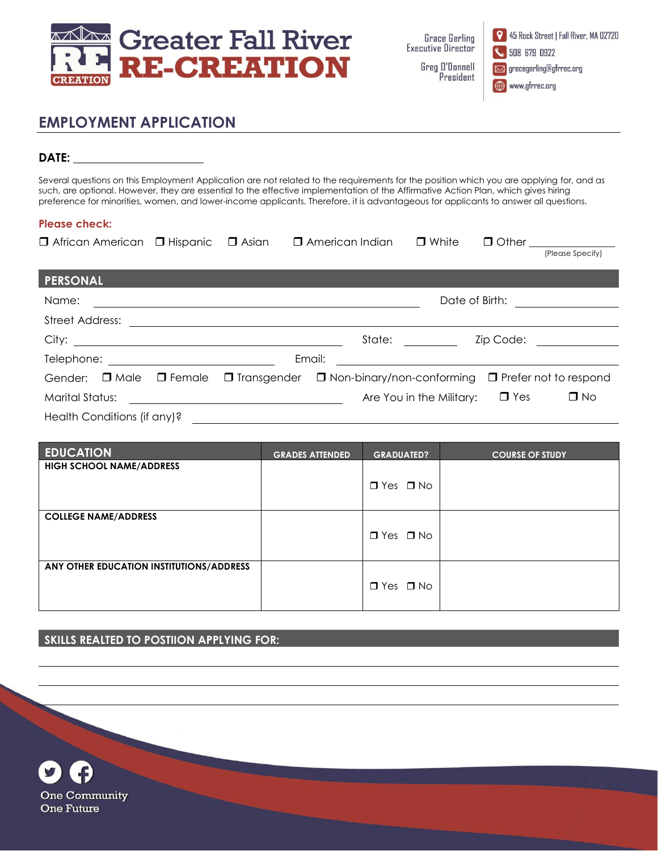

**Grace Gerling Executive Director** Greg D'Donnell President

9 45 Rock Street | Fall River, MA 02720 508 679 0922 gracegerling@gfrrec.org

www.gfrrec.org

# **EMPLOYMENT APPLICATION**

## **DATE: \_\_\_\_\_\_\_\_\_\_\_\_\_\_\_\_\_\_\_\_\_\_**

Several questions on this Employment Application are not related to the requirements for the position which you are applying for, and as such, are optional. However, they are essential to the effective implementation of the Affirmative Action Plan, which gives hiring preference for minorities, women, and lower-income applicants. Therefore, it is advantageous for applicants to answer all questions.

### **Please check:**

| $\Box$ African American $\Box$ Hispanic |               | □ Asian                                             | $\Box$ American Indian |        | $\Box$ White                        |           | $\Box$ Other $\Box$               |
|-----------------------------------------|---------------|-----------------------------------------------------|------------------------|--------|-------------------------------------|-----------|-----------------------------------|
|                                         |               |                                                     |                        |        |                                     |           | (Please Specify)                  |
| <b>PERSONAL</b>                         |               |                                                     |                        |        |                                     |           |                                   |
| Name:                                   |               |                                                     |                        |        |                                     |           | Date of Birth: <u>___________</u> |
| Street Address:                         |               |                                                     |                        |        |                                     |           |                                   |
|                                         |               |                                                     |                        | State: |                                     | Zip Code: |                                   |
|                                         |               |                                                     | Email:                 |        |                                     |           |                                   |
| $\square$ Male<br>Gender:               | $\Box$ Female | $\Box$ Transgender $\Box$ Non-binary/non-conforming |                        |        |                                     |           | $\Box$ Prefer not to respond      |
| <b>Marital Status:</b>                  |               | <u> 1989 - Johann Barbara, martin da basar a</u>    |                        |        | Are You in the Military: $\Box$ Yes |           | $\Box$ No                         |
| Health Conditions (if any)?             |               |                                                     |                        |        |                                     |           |                                   |

| <b>EDUCATION</b>                         | <b>GRADES ATTENDED</b> | <b>GRADUATED?</b>    | <b>COURSE OF STUDY</b> |
|------------------------------------------|------------------------|----------------------|------------------------|
| <b>HIGH SCHOOL NAME/ADDRESS</b>          |                        |                      |                        |
|                                          |                        | $\Box$ Yes $\Box$ No |                        |
|                                          |                        |                      |                        |
| <b>COLLEGE NAME/ADDRESS</b>              |                        |                      |                        |
|                                          |                        | $\Box$ Yes $\Box$ No |                        |
|                                          |                        |                      |                        |
| ANY OTHER EDUCATION INSTITUTIONS/ADDRESS |                        |                      |                        |
|                                          |                        | $\Box$ Yes $\Box$ No |                        |
|                                          |                        |                      |                        |

#### **SKILLS REALTED TO POSTIION APPLYING FOR:**